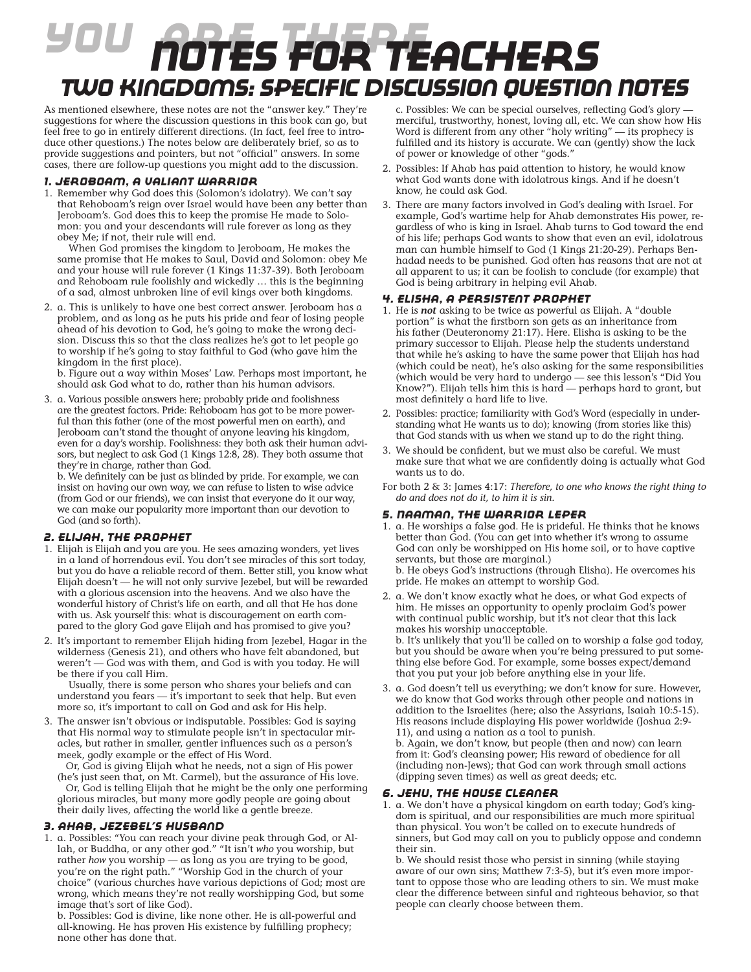# *You Are There Notes for teachers Two Kingdoms: Specific Discussion Question Notes*

As mentioned elsewhere, these notes are not the "answer key." They're suggestions for where the discussion questions in this book can go, but feel free to go in entirely different directions. (In fact, feel free to introduce other questions.) The notes below are deliberately brief, so as to provide suggestions and pointers, but not "official" answers. In some cases, there are follow-up questions you might add to the discussion.

# *1. Jeroboam, a Valiant Warrior*

1. Remember why God does this (Solomon's idolatry). We can't say that Rehoboam's reign over Israel would have been any better than Jeroboam's. God does this to keep the promise He made to Solomon: you and your descendants will rule forever as long as they obey Me; if not, their rule will end.

 When God promises the kingdom to Jeroboam, He makes the same promise that He makes to Saul, David and Solomon: obey Me and your house will rule forever (1 Kings 11:37-39). Both Jeroboam and Rehoboam rule foolishly and wickedly … this is the beginning of a sad, almost unbroken line of evil kings over both kingdoms.

2. a. This is unlikely to have one best correct answer. Jeroboam has a problem, and as long as he puts his pride and fear of losing people ahead of his devotion to God, he's going to make the wrong decision. Discuss this so that the class realizes he's got to let people go to worship if he's going to stay faithful to God (who gave him the kingdom in the first place).

b. Figure out a way within Moses' Law. Perhaps most important, he should ask God what to do, rather than his human advisors.

3. a. Various possible answers here; probably pride and foolishness are the greatest factors. Pride: Rehoboam has got to be more powerful than this father (one of the most powerful men on earth), and Jeroboam can't stand the thought of anyone leaving his kingdom, even for a day's worship. Foolishness: they both ask their human advisors, but neglect to ask God (1 Kings 12:8, 28). They both assume that they're in charge, rather than God.

b. We definitely can be just as blinded by pride. For example, we can insist on having our own way, we can refuse to listen to wise advice (from God or our friends), we can insist that everyone do it our way, we can make our popularity more important than our devotion to God (and so forth).

# *2. Elijah, the Prophet*

- 1. Elijah is Elijah and you are you. He sees amazing wonders, yet lives in a land of horrendous evil. You don't see miracles of this sort today, but you do have a reliable record of them. Better still, you know what Elijah doesn't — he will not only survive Jezebel, but will be rewarded with a glorious ascension into the heavens. And we also have the wonderful history of Christ's life on earth, and all that He has done with us. Ask yourself this: what is discouragement on earth compared to the glory God gave Elijah and has promised to give you?
- 2. It's important to remember Elijah hiding from Jezebel, Hagar in the wilderness (Genesis 21), and others who have felt abandoned, but weren't — God was with them, and God is with you today. He will be there if you call Him.

 Usually, there is some person who shares your beliefs and can understand you fears — it's important to seek that help. But even more so, it's important to call on God and ask for His help.

3. The answer isn't obvious or indisputable. Possibles: God is saying that His normal way to stimulate people isn't in spectacular miracles, but rather in smaller, gentler influences such as a person's meek, godly example or the effect of His Word.

 Or, God is giving Elijah what he needs, not a sign of His power (he's just seen that, on Mt. Carmel), but the assurance of His love. Or, God is telling Elijah that he might be the only one performing glorious miracles, but many more godly people are going about their daily lives, affecting the world like a gentle breeze.

## *3. Ahab, Jezebel's Husband*

1. a. Possibles: "You can reach your divine peak through God, or Allah, or Buddha, or any other god." "It isn't *who* you worship, but rather *how* you worship — as long as you are trying to be good, you're on the right path." "Worship God in the church of your choice" (various churches have various depictions of God; most are wrong, which means they're not really worshipping God, but some image that's sort of like God).

b. Possibles: God is divine, like none other. He is all-powerful and all-knowing. He has proven His existence by fulfilling prophecy; none other has done that.

c. Possibles: We can be special ourselves, reflecting God's glory merciful, trustworthy, honest, loving all, etc. We can show how His Word is different from any other "holy writing" — its prophecy is fulfilled and its history is accurate. We can (gently) show the lack of power or knowledge of other "gods."

- 2. Possibles: If Ahab has paid attention to history, he would know what God wants done with idolatrous kings. And if he doesn't know, he could ask God.
- 3. There are many factors involved in God's dealing with Israel. For example, God's wartime help for Ahab demonstrates His power, regardless of who is king in Israel. Ahab turns to God toward the end of his life; perhaps God wants to show that even an evil, idolatrous man can humble himself to God (1 Kings 21:20-29). Perhaps Benhadad needs to be punished. God often has reasons that are not at all apparent to us; it can be foolish to conclude (for example) that God is being arbitrary in helping evil Ahab.

## *4. Elisha, a Persistent Prophet*

- 1. He is *not* asking to be twice as powerful as Elijah. A "double portion" is what the firstborn son gets as an inheritance from his father (Deuteronomy 21:17). Here. Elisha is asking to be the primary successor to Elijah. Please help the students understand that while he's asking to have the same power that Elijah has had (which could be neat), he's also asking for the same responsibilities (which would be very hard to undergo — see this lesson's "Did You Know?"). Elijah tells him this is hard — perhaps hard to grant, but most definitely a hard life to live.
- 2. Possibles: practice; familiarity with God's Word (especially in understanding what He wants us to do); knowing (from stories like this) that God stands with us when we stand up to do the right thing.
- 3. We should be confident, but we must also be careful. We must make sure that what we are confidently doing is actually what God wants us to do.
- For both 2 & 3: James 4:17: *Therefore, to one who knows the right thing to do and does not do it, to him it is sin.*

## *5. Naaman, the Warrior Leper*

- 1. a. He worships a false god. He is prideful. He thinks that he knows better than God. (You can get into whether it's wrong to assume God can only be worshipped on His home soil, or to have captive servants, but those are marginal.) b. He obeys God's instructions (through Elisha). He overcomes his pride. He makes an attempt to worship God.
- 2. a. We don't know exactly what he does, or what God expects of him. He misses an opportunity to openly proclaim God's power with continual public worship, but it's not clear that this lack makes his worship unacceptable.

b. It's unlikely that you'll be called on to worship a false god today, but you should be aware when you're being pressured to put something else before God. For example, some bosses expect/demand that you put your job before anything else in your life.

3. a. God doesn't tell us everything; we don't know for sure. However, we do know that God works through other people and nations in addition to the Israelites (here; also the Assyrians, Isaiah 10:5-15). His reasons include displaying His power worldwide (Joshua 2:9- 11), and using a nation as a tool to punish.

b. Again, we don't know, but people (then and now) can learn from it: God's cleansing power; His reward of obedience for all (including non-Jews); that God can work through small actions (dipping seven times) as well as great deeds; etc.

## *6. Jehu, the House Cleaner*

1. a. We don't have a physical kingdom on earth today; God's kingdom is spiritual, and our responsibilities are much more spiritual than physical. You won't be called on to execute hundreds of sinners, but God may call on you to publicly oppose and condemn their sin.

b. We should resist those who persist in sinning (while staying aware of our own sins; Matthew 7:3-5), but it's even more important to oppose those who are leading others to sin. We must make clear the difference between sinful and righteous behavior, so that people can clearly choose between them.